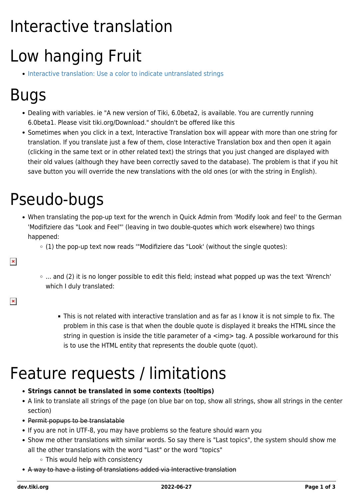# Interactive translation

## Low hanging Fruit

• [Interactive translation: Use a color to indicate untranslated strings](https://dev.tiki.org/wish4857)

## Bugs

- Dealing with variables. ie "A new version of Tiki, 6.0beta2, is available. You are currently running 6.0beta1. Please visit tiki.org/Download." shouldn't be offered like this
- Sometimes when you click in a text, Interactive Translation box will appear with more than one string for translation. If you translate just a few of them, close Interactive Translation box and then open it again (clicking in the same text or in other related text) the strings that you just changed are displayed with their old values (although they have been correctly saved to the database). The problem is that if you hit save button you will override the new translations with the old ones (or with the string in English).

### Pseudo-bugs

- When translating the pop-up text for the wrench in Quick Admin from 'Modify look and feel' to the German 'Modifiziere das "Look and Feel"' (leaving in two double-quotes which work elsewhere) two things happened:
	- $\circ$  (1) the pop-up text now reads "Modifiziere das "Look' (without the single quotes):
	- $\circ$  ... and (2) it is no longer possible to edit this field; instead what popped up was the text 'Wrench' which I duly translated:
- $\pmb{\times}$

 $\pmb{\times}$ 

This is not related with interactive translation and as far as I know it is not simple to fix. The problem in this case is that when the double quote is displayed it breaks the HTML since the string in question is inside the title parameter of a <img> tag. A possible workaround for this is to use the HTML entity that represents the double quote (quot).

#### Feature requests / limitations

#### **Strings cannot be translated in some contexts (tooltips)**

- A link to translate all strings of the page (on blue bar on top, show all strings, show all strings in the center section)
- Permit popups to be translatable
- If you are not in UTF-8, you may have problems so the feature should warn you
- Show me other translations with similar words. So say there is "Last topics", the system should show me all the other translations with the word "Last" or the word "topics"
	- $\circ$  This would help with consistency
- A way to have a listing of translations added via Interactive translation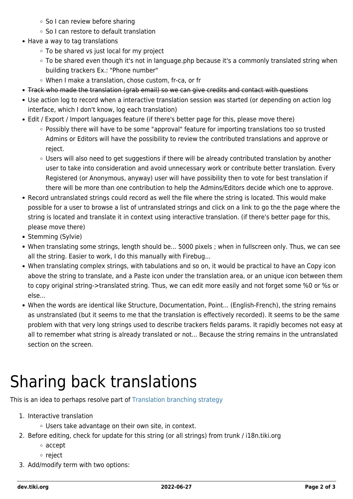- So I can review before sharing
- So I can restore to default translation
- Have a way to tag translations
	- To be shared vs just local for my project
	- To be shared even though it's not in language.php because it's a commonly translated string when building trackers Ex.: "Phone number"
	- When I make a translation, chose custom, fr-ca, or fr
- Track who made the translation (grab email) so we can give credits and contact with questions
- Use action log to record when a interactive translation session was started (or depending on action log interface, which I don't know, log each translation)
- Edit / Export / Import languages feature (if there's better page for this, please move there)
	- Possibly there will have to be some "approval" feature for importing translations too so trusted Admins or Editors will have the possibility to review the contributed translations and approve or reject.
	- Users will also need to get suggestions if there will be already contributed translation by another user to take into consideration and avoid unnecessary work or contribute better translation. Every Registered (or Anonymous, anyway) user will have possibility then to vote for best translation if there will be more than one contribution to help the Admins/Editors decide which one to approve.
- Record untranslated strings could record as well the file where the string is located. This would make possible for a user to browse a list of untranslated strings and click on a link to go the the page where the string is located and translate it in context using interactive translation. (if there's better page for this, please move there)
- Stemming (Sylvie)
- When translating some strings, length should be... 5000 pixels ; when in fullscreen only. Thus, we can see all the string. Easier to work, I do this manually with Firebug...
- When translating complex strings, with tabulations and so on, it would be practical to have an Copy icon above the string to translate, and a Paste icon under the translation area, or an unique icon between them to copy original string->translated string. Thus, we can edit more easily and not forget some %0 or %s or else...
- When the words are identical like Structure, Documentation, Point... (English-French), the string remains as unstranslated (but it seems to me that the translation is effectively recorded). It seems to be the same problem with that very long strings used to describe trackers fields params. It rapidly becomes not easy at all to remember what string is already translated or not... Because the string remains in the untranslated section on the screen.

## Sharing back translations

This is an idea to perhaps resolve part of [Translation branching strategy](http://tiki.org/Translation%20branching%20strategy)

- 1. Interactive translation
	- Users take advantage on their own site, in context.
- 2. Before editing, check for update for this string (or all strings) from trunk / i18n.tiki.org
	- accept
	- ∘ reject
- 3. Add/modify term with two options: